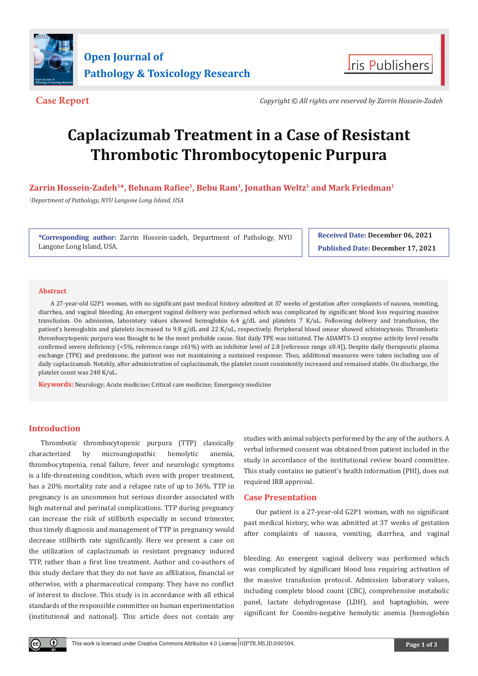



**Case Report** *Copyright © All rights are reserved by Zarrin Hossein-Zadeh*

# **Caplacizumab Treatment in a Case of Resistant Thrombotic Thrombocytopenic Purpura**

**Zarrin Hossein-Zadeh1\*, Behnam Rafiee1, Bebu Ram1, Jonathan Weltz1 and Mark Friedman1**

*1 Department of Pathology, NYU Langone Long Island, USA*

**\*Corresponding author:** Zarrin Hossein-zadeh, Department of Pathology, NYU Langone Long Island, USA.

**Received Date: December 06, 2021 Published Date: December 17, 2021**

# **Abstract**

A 27-year-old G2P1 woman, with no significant past medical history admitted at 37 weeks of gestation after complaints of nausea, vomiting, diarrhea, and vaginal bleeding. An emergent vaginal delivery was performed which was complicated by significant blood loss requiring massive transfusion. On admission, laboratory values showed hemoglobin 6.4 g/dL and platelets 7 K/uL. Following delivery and transfusion, the patient's hemoglobin and platelets increased to 9.8 g/dL and 22 K/uL, respectively. Peripheral blood smear showed schistocytosis. Thrombotic thrombocytopenic purpura was thought to be the most probable cause. Stat daily TPE was initiated. The ADAMTS-13 enzyme activity level results confirmed severe deficiency (<5%, reference range ≥61%) with an inhibitor level of 2.8 [reference range ≤0.4]). Despite daily therapeutic plasma exchange (TPE) and prednisone, the patient was not maintaining a sustained response. Thus, additional measures were taken including use of daily caplacizumab. Notably, after administration of caplacizumab, the platelet count consistently increased and remained stable. On discharge, the platelet count was 248 K/uL.

**Keywords:** Neurology; Acute medicine; Critical care medicine; Emergency medicine

# **Introduction**

Thrombotic thrombocytopenic purpura (TTP) classically characterized by microangiopathic hemolytic anemia, thrombocytopenia, renal failure, fever and neurologic symptoms is a life-threatening condition, which even with proper treatment, has a 20% mortality rate and a relapse rate of up to 36%. TTP in pregnancy is an uncommon but serious disorder associated with high maternal and perinatal complications. TTP during pregnancy can increase the risk of stillbirth especially in second trimester, thus timely diagnosis and management of TTP in pregnancy would decrease stillbirth rate significantly. Here we present a case on the utilization of caplacizumab in resistant pregnancy induced TTP, rather than a first line treatment. Author and co-authors of this study declare that they do not have an affiliation, financial or otherwise, with a pharmaceutical company. They have no conflict of interest to disclose. This study is in accordance with all ethical standards of the responsible committee on human experimentation (institutional and national). This article does not contain any

studies with animal subjects performed by the any of the authors. A verbal informed consent was obtained from patient included in the study in accordance of the institutional review board committee. This study contains no patient's health information (PHI), does not required IRB approval.

## **Case Presentation**

Our patient is a 27-year-old G2P1 woman, with no significant past medical history, who was admitted at 37 weeks of gestation after complaints of nausea, vomiting, diarrhea, and vaginal

bleeding. An emergent vaginal delivery was performed which was complicated by significant blood loss requiring activation of the massive transfusion protocol. Admission laboratory values, including complete blood count (CBC), comprehensive metabolic panel, lactate dehydrogenase (LDH), and haptoglobin, were significant for Coombs-negative hemolytic anemia (hemoglobin

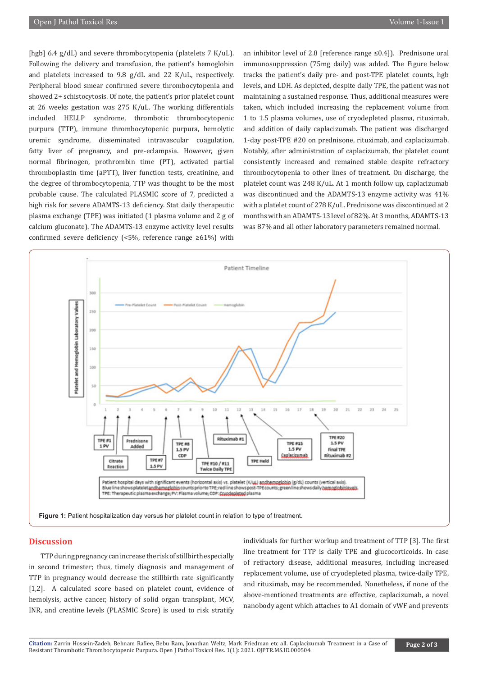[hgb] 6.4 g/dL) and severe thrombocytopenia (platelets 7 K/uL). Following the delivery and transfusion, the patient's hemoglobin and platelets increased to 9.8 g/dL and 22 K/uL, respectively. Peripheral blood smear confirmed severe thrombocytopenia and showed 2+ schistocytosis. Of note, the patient's prior platelet count at 26 weeks gestation was 275 K/uL. The working differentials included HELLP syndrome, thrombotic thrombocytopenic purpura (TTP), immune thrombocytopenic purpura, hemolytic uremic syndrome, disseminated intravascular coagulation, fatty liver of pregnancy, and pre-eclampsia. However, given normal fibrinogen, prothrombin time (PT), activated partial thromboplastin time (aPTT), liver function tests, creatinine, and the degree of thrombocytopenia, TTP was thought to be the most probable cause. The calculated PLASMIC score of 7, predicted a high risk for severe ADAMTS-13 deficiency. Stat daily therapeutic plasma exchange (TPE) was initiated (1 plasma volume and 2 g of calcium gluconate). The ADAMTS-13 enzyme activity level results confirmed severe deficiency (<5%, reference range ≥61%) with

an inhibitor level of 2.8 [reference range ≤0.4]). Prednisone oral immunosuppression (75mg daily) was added. The Figure below tracks the patient's daily pre- and post-TPE platelet counts, hgb levels, and LDH. As depicted, despite daily TPE, the patient was not maintaining a sustained response. Thus, additional measures were taken, which included increasing the replacement volume from 1 to 1.5 plasma volumes, use of cryodepleted plasma, rituximab, and addition of daily caplacizumab. The patient was discharged 1-day post-TPE #20 on prednisone, rituximab, and caplacizumab. Notably, after administration of caplacizumab, the platelet count consistently increased and remained stable despite refractory thrombocytopenia to other lines of treatment. On discharge, the platelet count was 248 K/uL. At 1 month follow up, caplacizumab was discontinued and the ADAMTS-13 enzyme activity was 41% with a platelet count of 278 K/uL. Prednisone was discontinued at 2 months with an ADAMTS-13 level of 82%. At 3 months, ADAMTS-13 was 87% and all other laboratory parameters remained normal.



#### **Discussion**

TTP during pregnancy can increase the risk of stillbirth especially in second trimester; thus, timely diagnosis and management of TTP in pregnancy would decrease the stillbirth rate significantly [1,2]. A calculated score based on platelet count, evidence of hemolysis, active cancer, history of solid organ transplant, MCV, INR, and creatine levels (PLASMIC Score) is used to risk stratify

individuals for further workup and treatment of TTP [3]. The first line treatment for TTP is daily TPE and glucocorticoids. In case of refractory disease, additional measures, including increased replacement volume, use of cryodepleted plasma, twice-daily TPE, and rituximab, may be recommended. Nonetheless, if none of the above-mentioned treatments are effective, caplacizumab, a novel nanobody agent which attaches to A1 domain of vWF and prevents